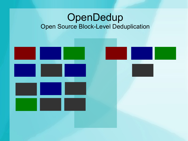#### OpenDedup Open Source Block-Level Deduplication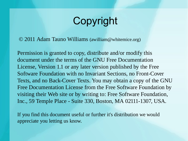# Copyright

© 2011 Adam Tauno Williams (awilliam@whitemice.org)

Permission is granted to copy, distribute and/or modify this document under the terms of the GNU Free Documentation License, Version 1.1 or any later version published by the Free Software Foundation with no Invariant Sections, no Front-Cover Texts, and no Back-Cover Texts. You may obtain a copy of the GNU Free Documentation License from the Free Software Foundation by visiting their Web site or by writing to: Free Software Foundation, Inc., 59 Temple Place - Suite 330, Boston, MA 02111-1307, USA.

If you find this document useful or further it's distribution we would appreciate you letting us know.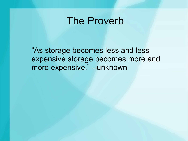#### The Proverb

"As storage becomes less and less expensive storage becomes more and more expensive." --unknown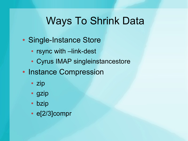# Ways To Shrink Data

- Single-Instance Store
	- rsync with –link-dest
	- Cyrus IMAP singleinstancestore
- Instance Compression
	- zip
	- gzip
	- bzip
	- $\cdot$  e[2/3]compr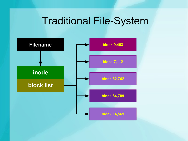## Traditional File-System

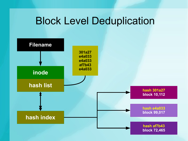#### Block Level Deduplication

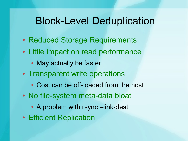#### Block-Level Deduplication

- Reduced Storage Requirements
- Little impact on read performance
	- May actually be faster
- Transparent write operations
	- Cost can be off-loaded from the host
- No file-system meta-data bloat
	- A problem with rsync –link-dest
- Efficient Replication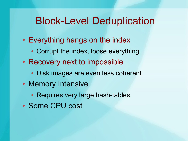#### Block-Level Deduplication

- Everything hangs on the index
	- Corrupt the index, loose everything.
- Recovery next to impossible
	- Disk images are even less coherent.
- Memory Intensive
	- Requires very large hash-tables.
- Some CPU cost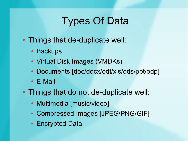# Types Of Data

- Things that de-duplicate well:
	- Backups
	- Virtual Disk Images (VMDKs)
	- Documents [doc/docx/odt/xls/ods/ppt/odp]
	- E-Mail
- Things that do not de-duplicate well:
	- Multimedia [music/video]
	- Compressed Images [JPEG/PNG/GIF]
	- Encrypted Data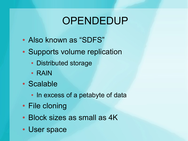# **OPENDEDUP**

- Also known as "SDFS"
- Supports volume replication
	- Distributed storage
	- RAIN
- Scalable
	- In excess of a petabyte of data
- File cloning
- Block sizes as small as 4K
- User space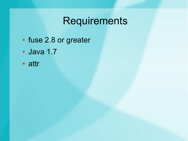# Requirements

- fuse 2.8 or greater
- Java 1.7
- attr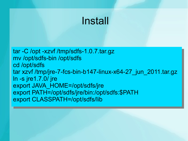## Install

ar -C /opt -xzvf /tmp/sdfs-1.0.7.tar.gz | mv /opt/sdfs-bin /opt/sdfs cd /opt/sdfs ar xzvf /tmp/jre-7-fcs-bin-b147-linux-x64-27\_jun\_2011.tar.gz ln -s jre1.7.0/ jre export JAVA\_HOME=/opt/sdfs/jre export PATH=/opt/sdfs/jre/bin:/opt/sdfs:\$PATH= export CLASSPATH=/opt/sdfs/lib tar -C /opt -xzvf /tmp/sdfs-1.0.7.tar.gz mv /opt/sdfs-bin /opt/sdfs cd /opt/sdfs tar xzvf /tmp/jre-7-fcs-bin-b147-linux-x64-27\_jun\_2011.tar.gz ln -s jre1.7.0/ jre export JAVA\_HOME=/opt/sdfs/jre export PATH=/opt/sdfs/jre/bin:/opt/sdfs:\$PATH export CLASSPATH=/opt/sdfs/lib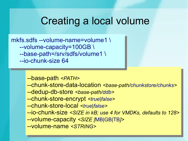#### Creating a local volume

nkfs.sdfs --volume-name=volume1 \ --volume-capacity=100GB \ --base-path=/srv/sdfs/volume1 \ -io-chunk-size 64 mkfs.sdfs --volume-name=volume1 \ --volume-capacity=100GB \ --base-path=/srv/sdfs/volume1 \ --io-chunk-size 64

> --base-path *<PATH>* --base-path *<PATH>*

- --chunk-store-data-location *<base-path/chunkstore/chunks>* --chunk-store-data-location *<base-path/chunkstore/chunks>*
- --dedup-db-store *<base-path/ddb>* --dedup-db-store *<base-path/ddb>*
- --chunk-store-encrypt *<true|false>* --chunk-store-encrypt *<true|false>*
- --chunk-store-local *<true|false>* --chunk-store-local *<true|false>*
- --io-chunk-size *<SIZE in kB; use 4 for VMDKs, defaults to 128>* --io-chunk-size *<SIZE in kB; use 4 for VMDKs, defaults to 128>*
- --volume-capacity *<SIZE [*MB*|*GB*|*TB*]>* --volume-capacity *<SIZE [*MB*|*GB*|*TB*]>*
- --volume-name *<STRING>* --volume-name *<STRING>*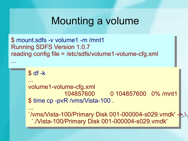#### Mounting a volume

\$ mount.sdfs -v volume1 -m /mnt1 Running SDFS Version 1.0.7 eading config file = /etc/sdfs/volume1-volume-cfg.xml \$ mount.sdfs -v volume1 -m /mnt1 Running SDFS Version 1.0.7 reading config file = /etc/sdfs/volume1-volume-cfg.xml

```
\overline{a} df -K
$ df -k
```

```
...
...
```
...

...

volume1-volume-cfg.xml 104857600 0 104857600 0% /mnt1 , time cp -pvR /vms/vista-100 . volume1-volume-cfg.xml 104857600 0 104857600 0% /mnt1 \$ time cp -pvR /vms/Vista-100 .

```
...
/vms/vista-100/Primary Disk 001-000004-s029.vmdk' -<mark>></mark> \\
 `./Vista-100/Primary Disk 001-000004-s029.vmdk'
...
`/vms/Vista-100/Primary Disk 001-000004-s029.vmdk' -> \
 `./Vista-100/Primary Disk 001-000004-s029.vmdk'
```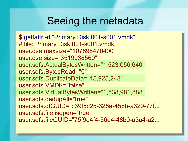#### Seeing the metadata

\$ getfattr -d "Primary Disk 001-s001.vmdk" # file: Primary Disk 001-s001.vmdk user.dse.maxsize="107898470400" user.dse.size="3519938560" user.sdfs.ActualBytesWritten="1,523,056,640" user.sdfs.BytesRead="0" user.sdfs.DuplicateData="15,925,248" user.sdfs.VMDK="false" user.sdfs.VirtualBytesWritten="1,538,981,888" user.sdfs.dedupAll="true" user.sdfs.dfGUID="c39f5c25-328a-456b-a329-77f... user.sdfs.file.isopen="true" user.sdfs.fileGUID="75f9e4f4-56a4-48b0-a3a4-a2... \$ getfattr -d "Primary Disk 001-s001.vmdk" # file: Primary Disk 001-s001.vmdk user.dse.maxsize="107898470400" user.dse.size="3519938560" user.sdfs.ActualBytesWritten="1,523,056,640" user.sdfs.BytesRead="0" user.sdfs.DuplicateData="15,925,248" user.sdfs.VMDK="false" user.sdfs.VirtualBytesWritten="1,538,981,888" user.sdfs.dedupAll="true" user.sdfs.dfGUID="c39f5c25-328a-456b-a329-77f... user.sdfs.file.isopen="true" user.sdfs.fileGUID="75f9e4f4-56a4-48b0-a3a4-a2...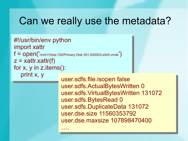#### Can we really use the metadata?

#!/usr/bin/env python mport xattr  $\epsilon = \text{open}(\text{7/mnt1/Vista-100/Primary Disk 001-000003-s045.vmdk})$  $z = x$ attr.xattr(f) or x, y in z.items():  $\frac{1}{2}$  print x, y #!/usr/bin/env python import xattr  $f = open('$ /mnt1/Vista-100/Primary Disk 001-000003-s045.vmdk $')$  $z = x$ attr.xattr(f) for x, y in z.items(): print x, y

….

user.sdfs.file.isopen false user.sdfs.ActualBytesWritten 0 user.sdfs.VirtualBytesWritten 131072 user.sdfs.BytesRead U user.sdfs.DuplicateData 131072 user.dse.size 11560353792 user.dse.maxsize 107898470400 user.sdfs.file.isopen false user.sdfs.ActualBytesWritten 0 user.sdfs.VirtualBytesWritten 131072 user.sdfs.BytesRead 0 user.sdfs.DuplicateData 131072 user.dse.size 11560353792 user.dse.maxsize 107898470400 ….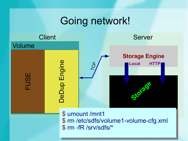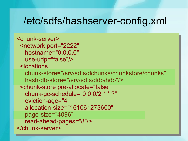#### /etc/sdfs/hashserver-config.xml

```
<chunk-server>
 <network port="2222" 
   hostname="0.0.0.0" 
use-udp="false"/>
 <locations 
   chunk-store="/srv/sdfs/dchunks/chunkstore/chunks" 
 hash-db-store="/srv/sdfs/ddb/hdb"/>
 <chunk-store pre-allocate="false" 
   chunk-gc-schedule="0 0 0/2 * * ?" 
   eviction-age="4" 
   allocation-size="161061273600" 
   page-size="4096" 
   read-ahead-pages="8"/>
</chunk-server>
<chunk-server>
<network port="2222"
  hostname="0.0.0.0" 
 use-udp="false"/>
 <locations 
  chunk-store="/srv/sdfs/dchunks/chunkstore/chunks" 
 hash-db-store="/srv/sdfs/ddb/hdb"/>
 <chunk-store pre-allocate="false" 
  chunk-gc-schedule="0 0 0/2 * * ?" 
  eviction-age="4" 
  allocation-size="161061273600" 
  page-size="4096" 
  read-ahead-pages="8"/>
</chunk-server>
```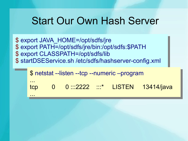#### Start Our Own Hash Server

\$ export JAVA\_HOME=/opt/sdfs/jre \$ export PATH=/opt/sdfs/jre/bin:/opt/sdfs:\$PATH \$ export CLASSPATH=/opt/sdfs/lib \$ startDSEService.sh /etc/sdfs/hashserver-config.xml \$ export JAVA\_HOME=/opt/sdfs/jre \$ export PATH=/opt/sdfs/jre/bin:/opt/sdfs:\$PATH \$ export CLASSPATH=/opt/sdfs/lib \$ startDSEService.sh /etc/sdfs/hashserver-config.xml

...

...

\$ netstat --listen --tcp --numeric –program tcp cp 0 0 :::2222 :::\* LISTEN 13414/java \$ netstat --listen --tcp --numeric –program ... tcp 0 0 :::2222 :::\* LISTEN 13414/java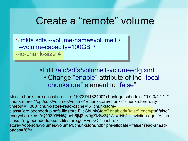#### Create a "remote" volume

\$ mkfs.sdfs --volume-name=volume1 \ --volume-capacity=100GB \ -io-chunk-size 4 \$ mkfs.sdfs --volume-name=volume1 \ --volume-capacity=100GB \ --io-chunk-size 4

#### •Edit /etc/sdfs/volume1-volume-cfg.xml • Change "enable" attribute of the "localchunkstore" element to "false"

<local-chunkstore allocation-size="107374182400" chunk-gc-schedule="0 0 0/4 \* \* ?" chunk-store="/opt/sdfs/volumes/volume1/chunkstore/chunks" chunk-store-dirtytimeout="1000" chunk-store-read-cache="5" chunkstoreclass="org.opendedup.sdfs.filestore.FileChunkStore" enabled="false" encrypt="false" encryption-key="q@98lYEN@mqb6jkj2pV9gZlzSv3@WsUHh4J" eviction-age="6" gcclass="org.opendedup.sdfs.filestore.gc.PFullGC" hash-dbstore="/opt/sdfs/volumes/volume1/chunkstore/hdb" pre-allocate="false" read-aheadpages="8"/>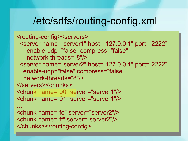#### /etc/sdfs/routing-config.xml

<routing-config><servers> <server name="server1" host="127.0.0.1" port="2222" enable-udp="false" compress="false" network-threads="8"/> <server name="server2" host="127.0.0.1" port="2222" enable-udp="false" compress="false" network-threads="8"/> </servers><chunks> <chunk name="00" server="server1"/> <chunk name="01" server="server1"/>  $\ddot{\phantom{a}}$ <chunk name="fe" server="server2"/> <routing-config><servers> <server name="server1" host="127.0.0.1" port="2222" enable-udp="false" compress="false" network-threads="8"/> <server name="server2" host="127.0.0.1" port="2222" enable-udp="false" compress="false" network-threads="8"/> </servers><chunks> <chunk name="00" server="server1"/> <chunk name="01" server="server1"/> … <chunk name="fe" server="server2"/> <chunk name="ff" server="server2"/>

```
<chunk name="ff" server="server2"/>
</chunks></routing-config>
</chunks></routing-config>
```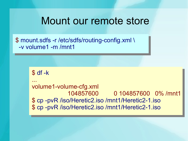#### Mount our remote store

\$ mount.sdfs -r /etc/sdfs/routing-config.xml \ -v volume1 -m /mnt1 \$ mount.sdfs -r /etc/sdfs/routing-config.xml \ -v volume1 -m /mnt1

> $\overline{a}$  df -K ... volume1-volume-cfg.xml 104857600 0 104857600 0% /mnt1 \$ cp -pvR /iso/Heretic2.iso /mnt1/Heretic2-1.iso \$ cp -pvR /iso/Heretic2.iso /mnt1/Heretic2-1.iso \$ df -k ... volume1-volume-cfg.xml 104857600 0 104857600 0% /mnt1 \$ cp -pvR /iso/Heretic2.iso /mnt1/Heretic2-1.iso \$ cp -pvR /iso/Heretic2.iso /mnt1/Heretic2-1.iso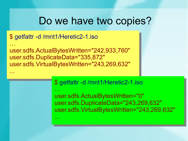#### Do we have two copies?

#### \$ getfattr -d /mnt1/Heretic2-1.iso \$ getfattr -d /mnt1/Heretic2-1.iso

...

...

… user.sdfs.ActualBytesWritten="242,933,760" user.sdfs.DuplicateData="335,872" user.sdfs.VirtualBytesWritten="243,269,632" … user.sdfs.ActualBytesWritten="242,933,760" user.sdfs.DuplicateData="335,872" user.sdfs.VirtualBytesWritten="243,269,632"

> \$ getfattr -d /mnt1/Heretic2-1.iso \$ getfattr -d /mnt1/Heretic2-1.iso

… user.sdfs.ActualBytesWritten="0" user.sdfs.DuplicateData="243,269,632" user.sdfs.VirtualBytesWritten="243,269,632" … user.sdfs.ActualBytesWritten="0" user.sdfs.DuplicateData="243,269,632" user.sdfs.VirtualBytesWritten="243,269,632"

... ...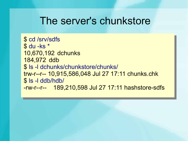#### The server's chunkstore

\$ cd /srv/sdfs \$ du -ks \* 10,670,192 dchunks 184,972 ddb \$ ls -l dchunks/chunkstore/chunks/ trw-r--r-- 10,915,586,048 Jul 27 17:11 chunks.chk \$ ls -l ddb/hdb/  $rw$ -r--r-- 189,210,598 Jul 27 17:11 hashstore-sdfs \$ cd /srv/sdfs \$ du -ks \* 10,670,192 dchunks 184,972 ddb \$ ls -l dchunks/chunkstore/chunks/ trw-r--r-- 10,915,586,048 Jul 27 17:11 chunks.chk \$ ls -l ddb/hdb/ -rw-r--r-- 189,210,598 Jul 27 17:11 hashstore-sdfs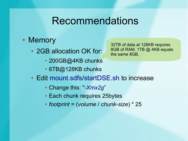#### **Recommendations**

- Memory
	- 2GB allocation OK for:
		- 200GB@4KB chunks
		- 6TB@128KB chunks
- 32TB of data at 128KB requires 8GB of RAM. 1TB @ 4KB equals the same 8GB.

- Edit mount.sdfs/startDSE.sh to increase
	- Change this: "*-Xmx2g*"
	- Each chunk requires 25bytes
	- *footprint* = (*volume* / *chunk-size*) \* 25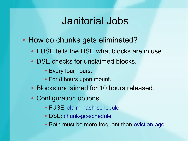#### Janitorial Jobs

- How do chunks gets eliminated?
	- FUSE tells the DSE what blocks are in use.
	- DSE checks for unclaimed blocks.
		- Every four hours.
		- For 8 hours upon mount.
	- Blocks unclaimed for 10 hours released.
	- Configuration options:
		- FUSE: claim-hash-schedule
		- DSE: chunk-gc-schedule
		- Both must be more frequent than eviction-age.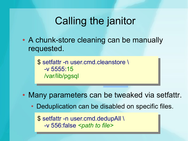# Calling the janitor

• A chunk-store cleaning can be manually requested.

> setfattr -n user.cmd.cleanstore \ -v 5555:15 /var/lib/pgsql \$ setfattr -n user.cmd.cleanstore \ -v 5555:15 /var/lib/pgsql Minutess of the Minutes of the Minutes of the Minutes of the Minutes of the Minutes of the Minutes of the Minutes of the Minutes of the Minutes of the Minutes of the Minutes of the Minutes of the Minutes of

• Many parameters can be tweaked via setfattr.

Mount Point

• Deduplication can be disabled on specific files.

\$ setfattr -n user.cmd.dedupAll \ -v 556:false *<path to file>* \$ setfattr -n user.cmd.dedupAll \ -v 556:false *<path to file>*